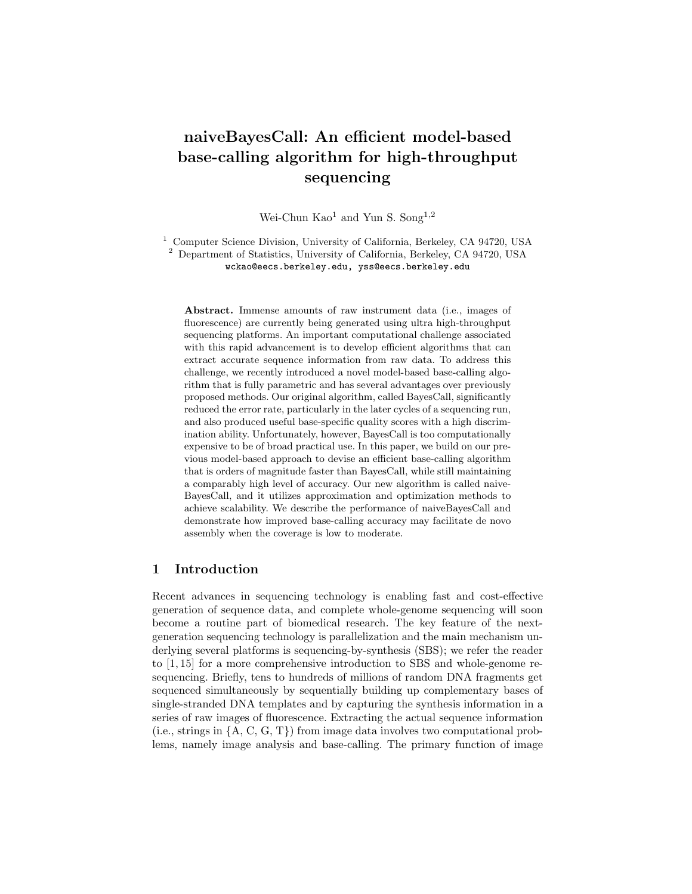# naiveBayesCall: An efficient model-based base-calling algorithm for high-throughput sequencing

Wei-Chun Kao<sup>1</sup> and Yun S. Song<sup>1,2</sup>

<sup>1</sup> Computer Science Division, University of California, Berkeley, CA 94720, USA <sup>2</sup> Department of Statistics, University of California, Berkeley, CA 94720, USA wckao@eecs.berkeley.edu, yss@eecs.berkeley.edu

Abstract. Immense amounts of raw instrument data (i.e., images of fluorescence) are currently being generated using ultra high-throughput sequencing platforms. An important computational challenge associated with this rapid advancement is to develop efficient algorithms that can extract accurate sequence information from raw data. To address this challenge, we recently introduced a novel model-based base-calling algorithm that is fully parametric and has several advantages over previously proposed methods. Our original algorithm, called BayesCall, significantly reduced the error rate, particularly in the later cycles of a sequencing run, and also produced useful base-specific quality scores with a high discrimination ability. Unfortunately, however, BayesCall is too computationally expensive to be of broad practical use. In this paper, we build on our previous model-based approach to devise an efficient base-calling algorithm that is orders of magnitude faster than BayesCall, while still maintaining a comparably high level of accuracy. Our new algorithm is called naive-BayesCall, and it utilizes approximation and optimization methods to achieve scalability. We describe the performance of naiveBayesCall and demonstrate how improved base-calling accuracy may facilitate de novo assembly when the coverage is low to moderate.

# 1 Introduction

Recent advances in sequencing technology is enabling fast and cost-effective generation of sequence data, and complete whole-genome sequencing will soon become a routine part of biomedical research. The key feature of the nextgeneration sequencing technology is parallelization and the main mechanism underlying several platforms is sequencing-by-synthesis (SBS); we refer the reader to [1, 15] for a more comprehensive introduction to SBS and whole-genome resequencing. Briefly, tens to hundreds of millions of random DNA fragments get sequenced simultaneously by sequentially building up complementary bases of single-stranded DNA templates and by capturing the synthesis information in a series of raw images of fluorescence. Extracting the actual sequence information (i.e., strings in  $\{A, C, G, T\}$ ) from image data involves two computational problems, namely image analysis and base-calling. The primary function of image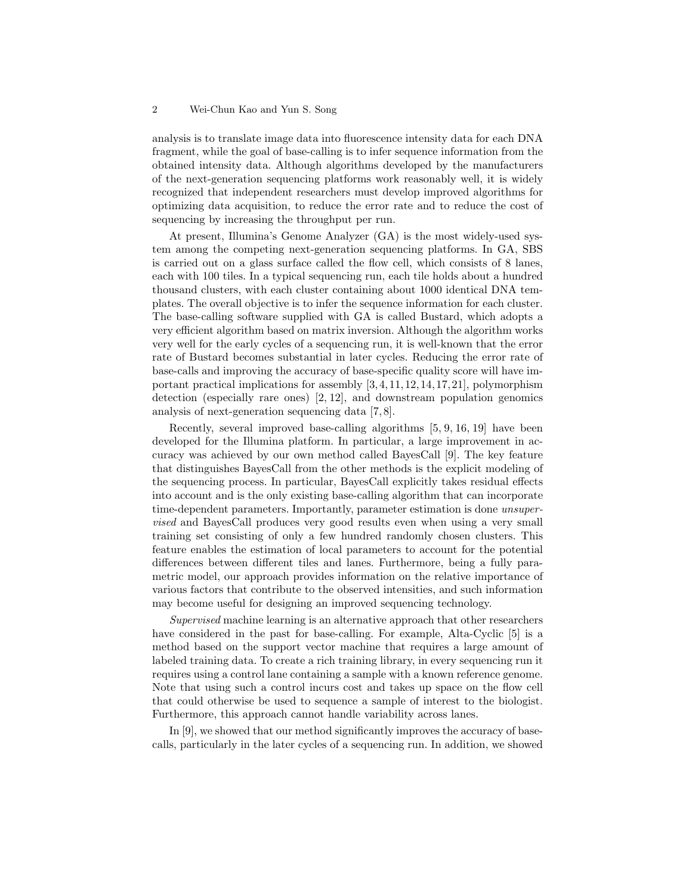analysis is to translate image data into fluorescence intensity data for each DNA fragment, while the goal of base-calling is to infer sequence information from the obtained intensity data. Although algorithms developed by the manufacturers of the next-generation sequencing platforms work reasonably well, it is widely recognized that independent researchers must develop improved algorithms for optimizing data acquisition, to reduce the error rate and to reduce the cost of sequencing by increasing the throughput per run.

At present, Illumina's Genome Analyzer (GA) is the most widely-used system among the competing next-generation sequencing platforms. In GA, SBS is carried out on a glass surface called the flow cell, which consists of 8 lanes, each with 100 tiles. In a typical sequencing run, each tile holds about a hundred thousand clusters, with each cluster containing about 1000 identical DNA templates. The overall objective is to infer the sequence information for each cluster. The base-calling software supplied with GA is called Bustard, which adopts a very efficient algorithm based on matrix inversion. Although the algorithm works very well for the early cycles of a sequencing run, it is well-known that the error rate of Bustard becomes substantial in later cycles. Reducing the error rate of base-calls and improving the accuracy of base-specific quality score will have important practical implications for assembly [3, 4, 11, 12, 14, 17, 21], polymorphism detection (especially rare ones) [2, 12], and downstream population genomics analysis of next-generation sequencing data [7, 8].

Recently, several improved base-calling algorithms [5, 9, 16, 19] have been developed for the Illumina platform. In particular, a large improvement in accuracy was achieved by our own method called BayesCall [9]. The key feature that distinguishes BayesCall from the other methods is the explicit modeling of the sequencing process. In particular, BayesCall explicitly takes residual effects into account and is the only existing base-calling algorithm that can incorporate time-dependent parameters. Importantly, parameter estimation is done unsupervised and BayesCall produces very good results even when using a very small training set consisting of only a few hundred randomly chosen clusters. This feature enables the estimation of local parameters to account for the potential differences between different tiles and lanes. Furthermore, being a fully parametric model, our approach provides information on the relative importance of various factors that contribute to the observed intensities, and such information may become useful for designing an improved sequencing technology.

Supervised machine learning is an alternative approach that other researchers have considered in the past for base-calling. For example, Alta-Cyclic [5] is a method based on the support vector machine that requires a large amount of labeled training data. To create a rich training library, in every sequencing run it requires using a control lane containing a sample with a known reference genome. Note that using such a control incurs cost and takes up space on the flow cell that could otherwise be used to sequence a sample of interest to the biologist. Furthermore, this approach cannot handle variability across lanes.

In [9], we showed that our method significantly improves the accuracy of basecalls, particularly in the later cycles of a sequencing run. In addition, we showed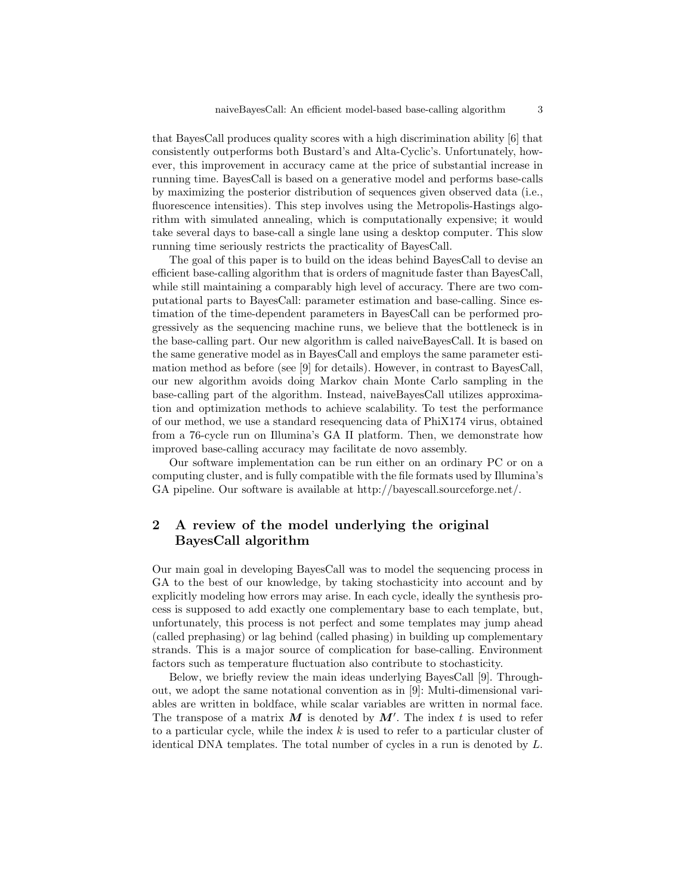that BayesCall produces quality scores with a high discrimination ability [6] that consistently outperforms both Bustard's and Alta-Cyclic's. Unfortunately, however, this improvement in accuracy came at the price of substantial increase in running time. BayesCall is based on a generative model and performs base-calls by maximizing the posterior distribution of sequences given observed data (i.e., fluorescence intensities). This step involves using the Metropolis-Hastings algorithm with simulated annealing, which is computationally expensive; it would take several days to base-call a single lane using a desktop computer. This slow running time seriously restricts the practicality of BayesCall.

The goal of this paper is to build on the ideas behind BayesCall to devise an efficient base-calling algorithm that is orders of magnitude faster than BayesCall, while still maintaining a comparably high level of accuracy. There are two computational parts to BayesCall: parameter estimation and base-calling. Since estimation of the time-dependent parameters in BayesCall can be performed progressively as the sequencing machine runs, we believe that the bottleneck is in the base-calling part. Our new algorithm is called naiveBayesCall. It is based on the same generative model as in BayesCall and employs the same parameter estimation method as before (see [9] for details). However, in contrast to BayesCall, our new algorithm avoids doing Markov chain Monte Carlo sampling in the base-calling part of the algorithm. Instead, naiveBayesCall utilizes approximation and optimization methods to achieve scalability. To test the performance of our method, we use a standard resequencing data of PhiX174 virus, obtained from a 76-cycle run on Illumina's GA II platform. Then, we demonstrate how improved base-calling accuracy may facilitate de novo assembly.

Our software implementation can be run either on an ordinary PC or on a computing cluster, and is fully compatible with the file formats used by Illumina's GA pipeline. Our software is available at http://bayescall.sourceforge.net/.

# 2 A review of the model underlying the original BayesCall algorithm

Our main goal in developing BayesCall was to model the sequencing process in GA to the best of our knowledge, by taking stochasticity into account and by explicitly modeling how errors may arise. In each cycle, ideally the synthesis process is supposed to add exactly one complementary base to each template, but, unfortunately, this process is not perfect and some templates may jump ahead (called prephasing) or lag behind (called phasing) in building up complementary strands. This is a major source of complication for base-calling. Environment factors such as temperature fluctuation also contribute to stochasticity.

Below, we briefly review the main ideas underlying BayesCall [9]. Throughout, we adopt the same notational convention as in [9]: Multi-dimensional variables are written in boldface, while scalar variables are written in normal face. The transpose of a matrix M is denoted by  $M'$ . The index t is used to refer to a particular cycle, while the index  $k$  is used to refer to a particular cluster of identical DNA templates. The total number of cycles in a run is denoted by L.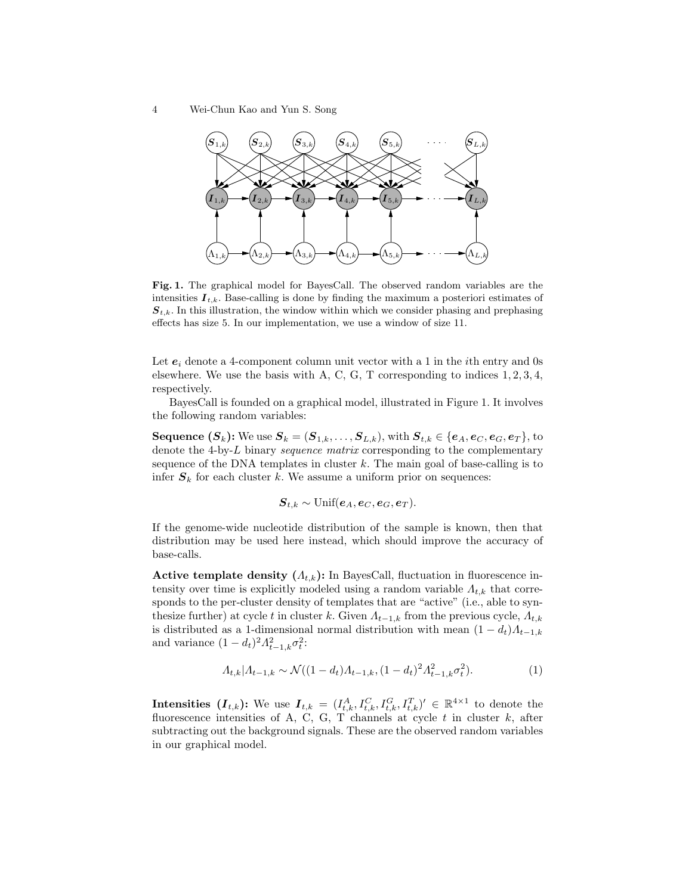4 Wei-Chun Kao and Yun S. Song



Fig. 1. The graphical model for BayesCall. The observed random variables are the intensities  $I_{t,k}$ . Base-calling is done by finding the maximum a posteriori estimates of  $S_{t,k}$ . In this illustration, the window within which we consider phasing and prephasing effects has size 5. In our implementation, we use a window of size 11.

Let  $e_i$  denote a 4-component column unit vector with a 1 in the *i*<sup>th</sup> entry and 0s elsewhere. We use the basis with A, C, G, T corresponding to indices  $1, 2, 3, 4$ , respectively.

BayesCall is founded on a graphical model, illustrated in Figure 1. It involves the following random variables:

Sequence  $(S_k)$ : We use  $S_k = (S_{1,k}, \ldots, S_{L,k})$ , with  $S_{t,k} \in \{e_A, e_C, e_G, e_T\}$ , to denote the 4-by-L binary sequence matrix corresponding to the complementary sequence of the DNA templates in cluster  $k$ . The main goal of base-calling is to infer  $S_k$  for each cluster k. We assume a uniform prior on sequences:

$$
\boldsymbol{S}_{t,k} \sim \text{Unif}(\boldsymbol{e}_A, \boldsymbol{e}_C, \boldsymbol{e}_G, \boldsymbol{e}_T).
$$

If the genome-wide nucleotide distribution of the sample is known, then that distribution may be used here instead, which should improve the accuracy of base-calls.

Active template density  $(\Lambda_{t,k})$ : In BayesCall, fluctuation in fluorescence intensity over time is explicitly modeled using a random variable  $\Lambda_{t,k}$  that corresponds to the per-cluster density of templates that are "active" (i.e., able to synthesize further) at cycle t in cluster k. Given  $\Lambda_{t-1,k}$  from the previous cycle,  $\Lambda_{t,k}$ is distributed as a 1-dimensional normal distribution with mean  $(1 - d_t)A_{t-1,k}$ and variance  $(1-d_t)^2 A_{t-1,k}^2 \sigma_t^2$ :

$$
A_{t,k}|A_{t-1,k} \sim \mathcal{N}((1-d_t)A_{t-1,k}, (1-d_t)^2 A_{t-1,k}^2 \sigma_t^2). \tag{1}
$$

Intensities  $(I_{t,k})$ : We use  $I_{t,k} = (I_{t,k}^A, I_{t,k}^C, I_{t,k}^T, I_{t,k}^T)' \in \mathbb{R}^{4 \times 1}$  to denote the fluorescence intensities of A, C, G, T channels at cycle  $t$  in cluster  $k$ , after subtracting out the background signals. These are the observed random variables in our graphical model.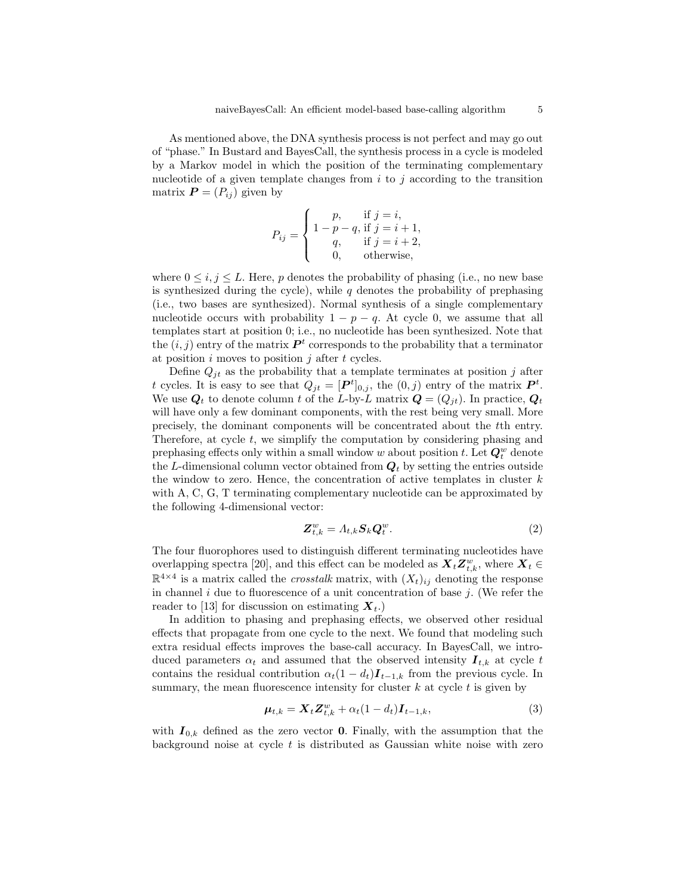As mentioned above, the DNA synthesis process is not perfect and may go out of "phase." In Bustard and BayesCall, the synthesis process in a cycle is modeled by a Markov model in which the position of the terminating complementary nucleotide of a given template changes from  $i$  to  $j$  according to the transition matrix  $\boldsymbol{P} = (P_{ij})$  given by

$$
P_{ij} = \begin{cases} p, & \text{if } j = i, \\ 1 - p - q, \text{ if } j = i + 1, \\ q, & \text{if } j = i + 2, \\ 0, & \text{otherwise,} \end{cases}
$$

where  $0 \leq i, j \leq L$ . Here, p denotes the probability of phasing (i.e., no new base is synthesized during the cycle), while  $q$  denotes the probability of prephasing (i.e., two bases are synthesized). Normal synthesis of a single complementary nucleotide occurs with probability  $1 - p - q$ . At cycle 0, we assume that all templates start at position 0; i.e., no nucleotide has been synthesized. Note that the  $(i, j)$  entry of the matrix  $\mathbf{P}^t$  corresponds to the probability that a terminator at position  $i$  moves to position  $j$  after  $t$  cycles.

Define  $Q_{it}$  as the probability that a template terminates at position j after t cycles. It is easy to see that  $Q_{jt} = [\mathbf{P}^t]_{0,j}$ , the  $(0, j)$  entry of the matrix  $\mathbf{P}^t$ . We use  $Q_t$  to denote column t of the L-by-L matrix  $Q = (Q_{jt})$ . In practice,  $Q_t$ will have only a few dominant components, with the rest being very small. More precisely, the dominant components will be concentrated about the tth entry. Therefore, at cycle  $t$ , we simplify the computation by considering phasing and prephasing effects only within a small window w about position t. Let  $Q_t^w$  denote the L-dimensional column vector obtained from  $Q_t$  by setting the entries outside the window to zero. Hence, the concentration of active templates in cluster  $k$ with A, C, G, T terminating complementary nucleotide can be approximated by the following 4-dimensional vector:

$$
\mathbf{Z}_{t,k}^w = A_{t,k} \mathbf{S}_k \mathbf{Q}_t^w. \tag{2}
$$

The four fluorophores used to distinguish different terminating nucleotides have overlapping spectra [20], and this effect can be modeled as  $\boldsymbol{X}_t \boldsymbol{Z}^w_{t,k}$ , where  $\boldsymbol{X}_t \in$  $\mathbb{R}^{4\times4}$  is a matrix called the *crosstalk* matrix, with  $(X_t)_{ij}$  denoting the response in channel i due to fluorescence of a unit concentration of base  $i$ . (We refer the reader to [13] for discussion on estimating  $X_t$ .)

In addition to phasing and prephasing effects, we observed other residual effects that propagate from one cycle to the next. We found that modeling such extra residual effects improves the base-call accuracy. In BayesCall, we introduced parameters  $\alpha_t$  and assumed that the observed intensity  $I_{t,k}$  at cycle t contains the residual contribution  $\alpha_t(1 - d_t)\mathbf{I}_{t-1,k}$  from the previous cycle. In summary, the mean fluorescence intensity for cluster  $k$  at cycle  $t$  is given by

$$
\boldsymbol{\mu}_{t,k} = \boldsymbol{X}_t \boldsymbol{Z}_{t,k}^w + \alpha_t (1 - d_t) \boldsymbol{I}_{t-1,k},
$$
\n(3)

with  $I_{0,k}$  defined as the zero vector **0**. Finally, with the assumption that the background noise at cycle  $t$  is distributed as Gaussian white noise with zero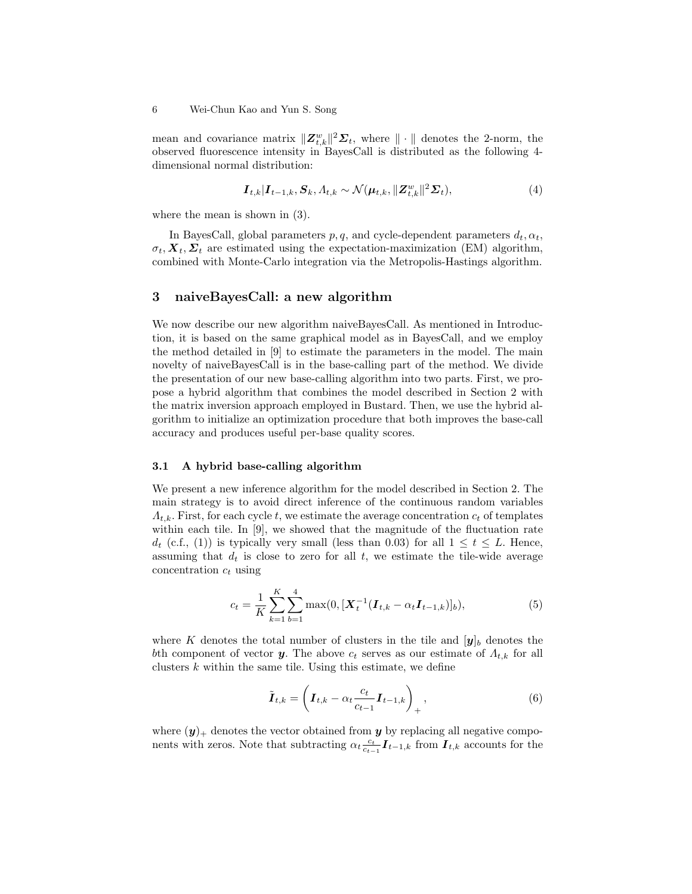mean and covariance matrix  $||\mathbf{Z}_{t,k}^w||^2\mathbf{\Sigma}_t$ , where  $||\cdot||$  denotes the 2-norm, the observed fluorescence intensity in BayesCall is distributed as the following 4 dimensional normal distribution:

$$
\boldsymbol{I}_{t,k}|\boldsymbol{I}_{t-1,k},\boldsymbol{S}_k,\boldsymbol{\Lambda}_{t,k} \sim \mathcal{N}(\boldsymbol{\mu}_{t,k},\|\boldsymbol{Z}_{t,k}^w\|^2\boldsymbol{\Sigma}_t),
$$
\n(4)

where the mean is shown in (3).

In BayesCall, global parameters  $p, q$ , and cycle-dependent parameters  $d_t, \alpha_t$ ,  $\sigma_t, X_t, \Sigma_t$  are estimated using the expectation-maximization (EM) algorithm, combined with Monte-Carlo integration via the Metropolis-Hastings algorithm.

### 3 naiveBayesCall: a new algorithm

We now describe our new algorithm naiveBayesCall. As mentioned in Introduction, it is based on the same graphical model as in BayesCall, and we employ the method detailed in [9] to estimate the parameters in the model. The main novelty of naiveBayesCall is in the base-calling part of the method. We divide the presentation of our new base-calling algorithm into two parts. First, we propose a hybrid algorithm that combines the model described in Section 2 with the matrix inversion approach employed in Bustard. Then, we use the hybrid algorithm to initialize an optimization procedure that both improves the base-call accuracy and produces useful per-base quality scores.

#### 3.1 A hybrid base-calling algorithm

We present a new inference algorithm for the model described in Section 2. The main strategy is to avoid direct inference of the continuous random variables  $\Lambda_{t,k}$ . First, for each cycle t, we estimate the average concentration  $c_t$  of templates within each tile. In [9], we showed that the magnitude of the fluctuation rate  $d_t$  (c.f., (1)) is typically very small (less than 0.03) for all  $1 \le t \le L$ . Hence, assuming that  $d_t$  is close to zero for all t, we estimate the tile-wide average concentration  $c_t$  using

$$
c_t = \frac{1}{K} \sum_{k=1}^{K} \sum_{b=1}^{4} \max(0, [\boldsymbol{X}_t^{-1} (\boldsymbol{I}_{t,k} - \alpha_t \boldsymbol{I}_{t-1,k})]_b), \tag{5}
$$

where K denotes the total number of clusters in the tile and  $[y]_b$  denotes the bth component of vector y. The above  $c_t$  serves as our estimate of  $\Lambda_{t,k}$  for all clusters  $k$  within the same tile. Using this estimate, we define

$$
\tilde{\boldsymbol{I}}_{t,k} = \left(\boldsymbol{I}_{t,k} - \alpha_t \frac{c_t}{c_{t-1}} \boldsymbol{I}_{t-1,k}\right)_+, \qquad (6)
$$

where  $(y)$ <sub>+</sub> denotes the vector obtained from y by replacing all negative components with zeros. Note that subtracting  $\alpha_t \frac{c_t}{c_{t-1}} \mathbf{I}_{t-1,k}$  from  $\mathbf{I}_{t,k}$  accounts for the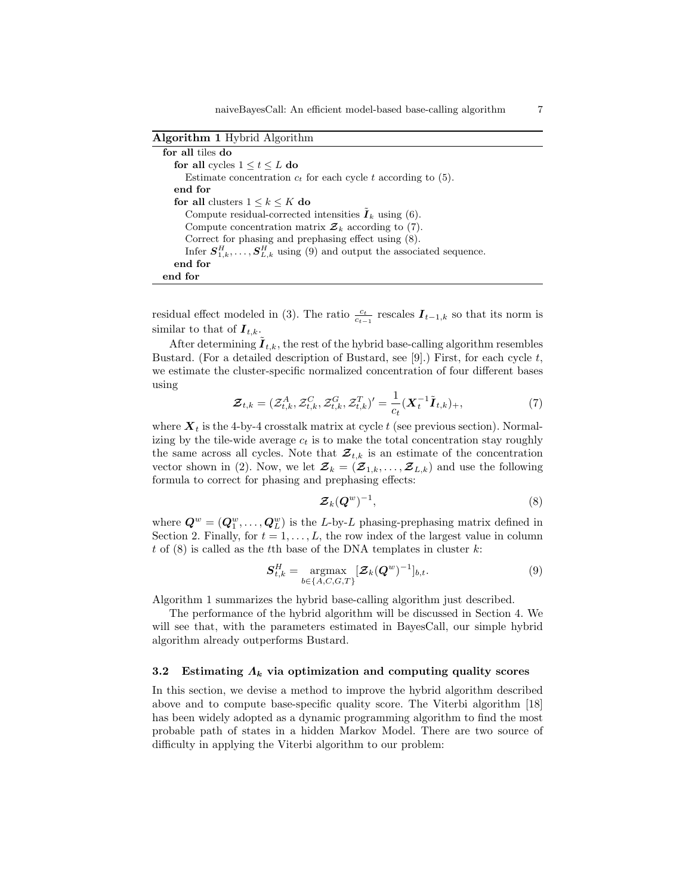| Algorithm 1 Hybrid Algorithm |  |  |
|------------------------------|--|--|
|                              |  |  |

| for all tiles do                                                                   |
|------------------------------------------------------------------------------------|
| for all cycles $1 \le t \le L$ do                                                  |
| Estimate concentration $c_t$ for each cycle t according to (5).                    |
| end for                                                                            |
| for all clusters $1 \leq k \leq K$ do                                              |
| Compute residual-corrected intensities $I_k$ using (6).                            |
| Compute concentration matrix $\mathcal{Z}_k$ according to (7).                     |
| Correct for phasing and prephasing effect using $(8)$ .                            |
| Infer $S_{1,k}^H, \ldots, S_{L,k}^H$ using (9) and output the associated sequence. |
| end for                                                                            |
| end for                                                                            |

residual effect modeled in (3). The ratio  $\frac{c_t}{c_{t-1}}$  rescales  $\boldsymbol{I}_{t-1,k}$  so that its norm is similar to that of  $I_{t,k}$ .

After determining  $I_{t,k}$ , the rest of the hybrid base-calling algorithm resembles Bustard. (For a detailed description of Bustard, see [9].) First, for each cycle  $t$ , we estimate the cluster-specific normalized concentration of four different bases using

$$
\mathcal{Z}_{t,k} = (\mathcal{Z}_{t,k}^A, \mathcal{Z}_{t,k}^C, \mathcal{Z}_{t,k}^G, \mathcal{Z}_{t,k}^T)' = \frac{1}{c_t} (\mathbf{X}_t^{-1} \tilde{\boldsymbol{I}}_{t,k})_+, \tag{7}
$$

where  $X_t$  is the 4-by-4 crosstalk matrix at cycle t (see previous section). Normalizing by the tile-wide average  $c_t$  is to make the total concentration stay roughly the same across all cycles. Note that  $\mathcal{Z}_{t,k}$  is an estimate of the concentration vector shown in (2). Now, we let  $\mathcal{Z}_k = (\mathcal{Z}_{1,k}, \ldots, \mathcal{Z}_{L,k})$  and use the following formula to correct for phasing and prephasing effects:

$$
\mathcal{Z}_k(\mathbf{Q}^w)^{-1},\tag{8}
$$

where  $\mathbf{Q}^w = (\mathbf{Q}_1^w, \dots, \mathbf{Q}_L^w)$  is the L-by-L phasing-prephasing matrix defined in Section 2. Finally, for  $t = 1, \ldots, L$ , the row index of the largest value in column t of  $(8)$  is called as the tth base of the DNA templates in cluster k:

$$
\mathbf{S}_{t,k}^H = \underset{b \in \{A, C, G, T\}}{\operatorname{argmax}} \left[ \mathbf{\mathcal{Z}}_k(\mathbf{Q}^w)^{-1} \right]_{b,t}.
$$
 (9)

Algorithm 1 summarizes the hybrid base-calling algorithm just described.

The performance of the hybrid algorithm will be discussed in Section 4. We will see that, with the parameters estimated in BayesCall, our simple hybrid algorithm already outperforms Bustard.

#### 3.2 Estimating  $\Lambda_k$  via optimization and computing quality scores

In this section, we devise a method to improve the hybrid algorithm described above and to compute base-specific quality score. The Viterbi algorithm [18] has been widely adopted as a dynamic programming algorithm to find the most probable path of states in a hidden Markov Model. There are two source of difficulty in applying the Viterbi algorithm to our problem: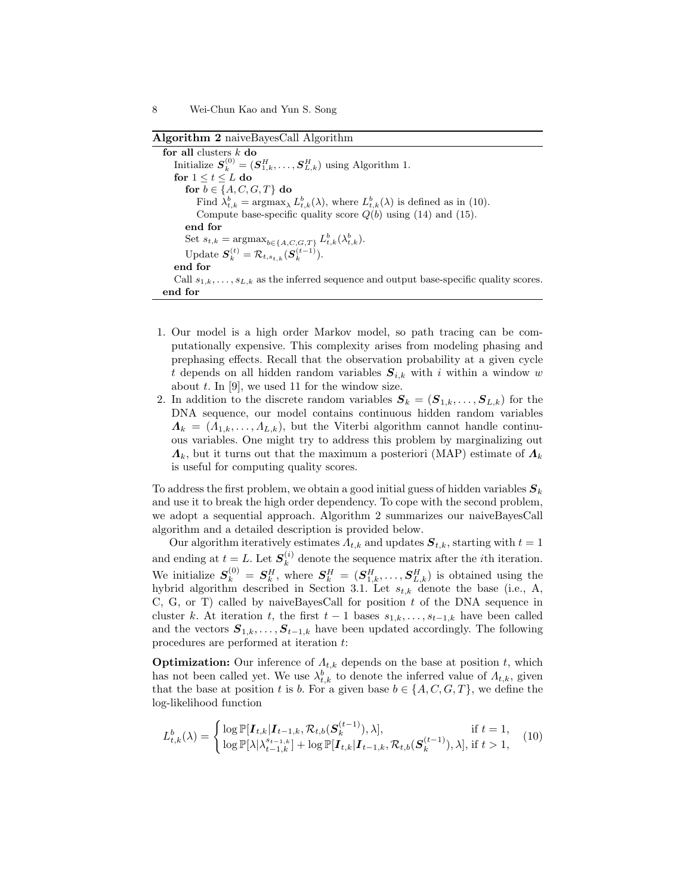Algorithm 2 naiveBayesCall Algorithm

for all clusters  $k$  do Initialize  $S_k^{(0)} = (S_{1,k}^H, \ldots, S_{L,k}^H)$  using Algorithm 1. for  $1 \le t \le L$  do for  $b \in \{A, C, G, T\}$  do Find  $\lambda_{t,k}^b = \operatorname{argmax}_{\lambda} L_{t,k}^b(\lambda)$ , where  $L_{t,k}^b(\lambda)$  is defined as in (10). Compute base-specific quality score  $Q(b)$  using (14) and (15). end for Set  $s_{t,k} = \operatorname{argmax}_{b \in \{A, C, G, T\}} L_{t,k}^b(\lambda_{t,k}^b)$ . Update  $\boldsymbol{S}_k^{(t)} = \mathcal{R}_{t,s_{t,k}}(\boldsymbol{S}_k^{(t-1)}).$ end for Call  $s_{1,k}, \ldots, s_{L,k}$  as the inferred sequence and output base-specific quality scores. end for

- 1. Our model is a high order Markov model, so path tracing can be computationally expensive. This complexity arises from modeling phasing and prephasing effects. Recall that the observation probability at a given cycle t depends on all hidden random variables  $S_{i,k}$  with i within a window w about  $t$ . In [9], we used 11 for the window size.
- 2. In addition to the discrete random variables  $S_k = (S_{1,k}, \ldots, S_{L,k})$  for the DNA sequence, our model contains continuous hidden random variables  $\Lambda_k = (A_{1,k}, \ldots, A_{L,k}),$  but the Viterbi algorithm cannot handle continuous variables. One might try to address this problem by marginalizing out  $\Lambda_k$ , but it turns out that the maximum a posteriori (MAP) estimate of  $\Lambda_k$ is useful for computing quality scores.

To address the first problem, we obtain a good initial guess of hidden variables  $S_k$ and use it to break the high order dependency. To cope with the second problem, we adopt a sequential approach. Algorithm 2 summarizes our naiveBayesCall algorithm and a detailed description is provided below.

Our algorithm iteratively estimates  $\Lambda_{t,k}$  and updates  $S_{t,k}$ , starting with  $t = 1$ and ending at  $t = L$ . Let  $S_k^{(i)}$  $\kappa$ <sup>(*i*</sup>) denote the sequence matrix after the *i*<sup>th</sup> iteration. We initialize  $S_k^{(0)} = S_k^H$ , where  $S_k^H = (S_{1,k}^H, \ldots, S_{L,k}^H)$  is obtained using the hybrid algorithm described in Section 3.1. Let  $s_{t,k}$  denote the base (i.e., A, C, G, or T) called by naiveBayesCall for position  $t$  of the DNA sequence in cluster k. At iteration t, the first  $t-1$  bases  $s_{1,k},\ldots,s_{t-1,k}$  have been called and the vectors  $S_{1,k}, \ldots, S_{t-1,k}$  have been updated accordingly. The following procedures are performed at iteration t:

**Optimization:** Our inference of  $\Lambda_{t,k}$  depends on the base at position t, which has not been called yet. We use  $\lambda_{t,k}^b$  to denote the inferred value of  $\Lambda_{t,k}$ , given that the base at position t is b. For a given base  $b \in \{A, C, G, T\}$ , we define the log-likelihood function

$$
L_{t,k}^{b}(\lambda) = \begin{cases} \log \mathbb{P}[I_{t,k}|I_{t-1,k}, \mathcal{R}_{t,b}(S_{k}^{(t-1)}), \lambda], & \text{if } t = 1, \\ \log \mathbb{P}[\lambda|\lambda_{t-1,k}^{s_{t-1,k}}] + \log \mathbb{P}[I_{t,k}|I_{t-1,k}, \mathcal{R}_{t,b}(S_{k}^{(t-1)}), \lambda], & \text{if } t > 1, \end{cases}
$$
(10)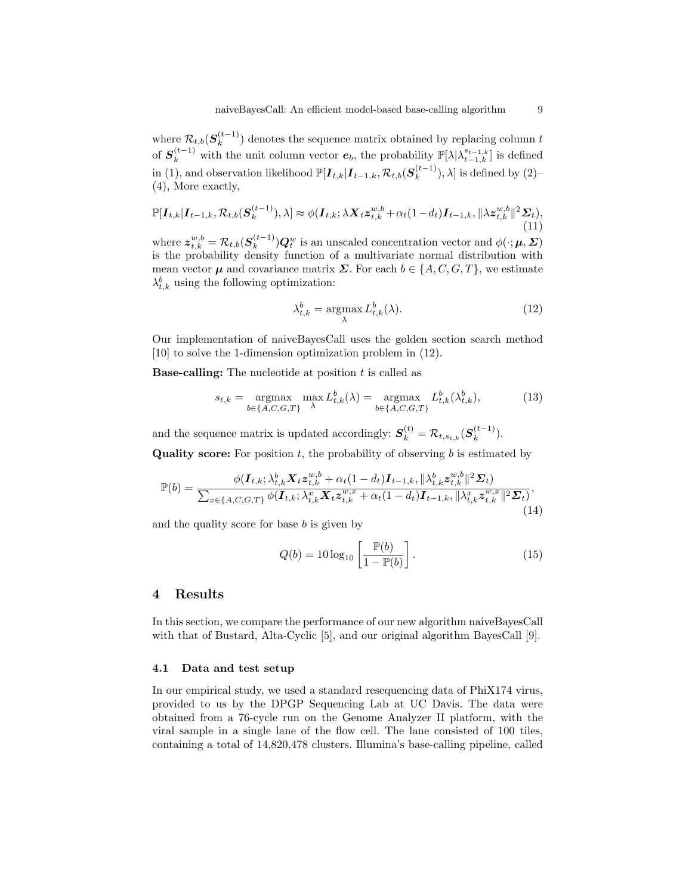where  $\mathcal{R}_{t,b}(\boldsymbol{S}_k^{(t-1)})$  $\binom{t-1}{k}$  denotes the sequence matrix obtained by replacing column t of  $S_k^{(t-1)}$  with the unit column vector  $e_b$ , the probability  $\mathbb{P}[\lambda|\lambda_{t-1,k}^{s_{t-1,k}}]$  is defined in (1), and observation likelihood  $\mathbb{P}[\bm{I}_{t,k}|\bm{I}_{t-1,k}, \mathcal{R}_{t,b}(\bm{S}_k^{(t-1)})]$  $\binom{(t-1)}{k}$ ,  $\lambda$  is defined by  $(2)$ – (4), More exactly,

$$
\mathbb{P}[\boldsymbol{I}_{t,k}|\boldsymbol{I}_{t-1,k},\mathcal{R}_{t,b}(\boldsymbol{S}_k^{(t-1)}),\lambda] \approx \phi(\boldsymbol{I}_{t,k};\lambda \boldsymbol{X}_t \boldsymbol{z}_{t,k}^{w,b} + \alpha_t (1-d_t)\boldsymbol{I}_{t-1,k},\|\lambda \boldsymbol{z}_{t,k}^{w,b}\|^2 \boldsymbol{\Sigma}_t),
$$
\n(11)

where  $\boldsymbol{z}_{t,k}^{w,b} = \mathcal{R}_{t,b}(\boldsymbol{S}_{k}^{(t-1)})$  $(k+1)$ ) $Q_t^w$  is an unscaled concentration vector and  $\phi(\cdot;\mu,\Sigma)$ is the probability density function of a multivariate normal distribution with mean vector  $\mu$  and covariance matrix  $\Sigma$ . For each  $b \in \{A, C, G, T\}$ , we estimate  $\lambda_{t,k}^b$  using the following optimization:

$$
\lambda_{t,k}^b = \underset{\lambda}{\operatorname{argmax}} L_{t,k}^b(\lambda). \tag{12}
$$

Our implementation of naiveBayesCall uses the golden section search method [10] to solve the 1-dimension optimization problem in (12).

**Base-calling:** The nucleotide at position  $t$  is called as

$$
s_{t,k} = \underset{b \in \{A, C, G, T\}}{\operatorname{argmax}} \max_{\lambda} L_{t,k}^b(\lambda) = \underset{b \in \{A, C, G, T\}}{\operatorname{argmax}} L_{t,k}^b(\lambda_{t,k}^b),\tag{13}
$$

and the sequence matrix is updated accordingly:  $S_k^{(t)} = \mathcal{R}_{t,s_{t,k}}(S_k^{(t-1)})$  $\binom{(t-1)}{k}$ . **Quality score:** For position  $t$ , the probability of observing  $b$  is estimated by

$$
\mathbb{P}(b) = \frac{\phi(\mathbf{I}_{t,k}; \lambda_{t,k}^b \mathbf{X}_t z_{t,k}^{w,b} + \alpha_t (1 - d_t) \mathbf{I}_{t-1,k}, ||\lambda_{t,k}^b z_{t,k}^{w,b}||^2 \mathbf{\Sigma}_t)}{\sum_{x \in \{A, C, G, T\}} \phi(\mathbf{I}_{t,k}; \lambda_{t,k}^x \mathbf{X}_t z_{t,k}^{w,x} + \alpha_t (1 - d_t) \mathbf{I}_{t-1,k}, ||\lambda_{t,k}^x z_{t,k}^{w,x}||^2 \mathbf{\Sigma}_t)},\tag{14}
$$

and the quality score for base  $b$  is given by

$$
Q(b) = 10 \log_{10} \left[ \frac{\mathbb{P}(b)}{1 - \mathbb{P}(b)} \right]. \tag{15}
$$

#### 4 Results

In this section, we compare the performance of our new algorithm naiveBayesCall with that of Bustard, Alta-Cyclic [5], and our original algorithm BayesCall [9].

#### 4.1 Data and test setup

In our empirical study, we used a standard resequencing data of PhiX174 virus, provided to us by the DPGP Sequencing Lab at UC Davis. The data were obtained from a 76-cycle run on the Genome Analyzer II platform, with the viral sample in a single lane of the flow cell. The lane consisted of 100 tiles, containing a total of 14,820,478 clusters. Illumina's base-calling pipeline, called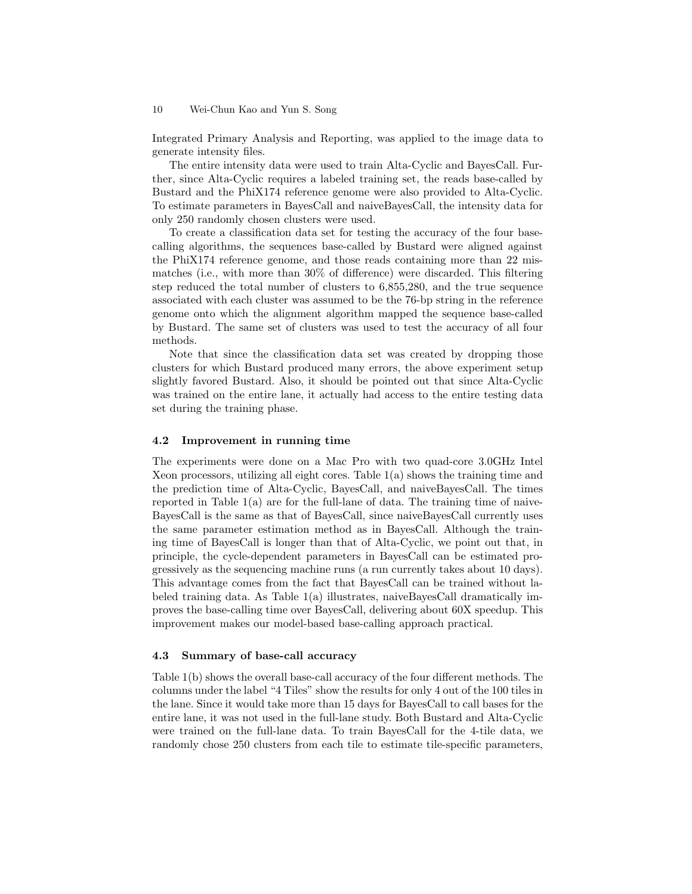#### 10 Wei-Chun Kao and Yun S. Song

Integrated Primary Analysis and Reporting, was applied to the image data to generate intensity files.

The entire intensity data were used to train Alta-Cyclic and BayesCall. Further, since Alta-Cyclic requires a labeled training set, the reads base-called by Bustard and the PhiX174 reference genome were also provided to Alta-Cyclic. To estimate parameters in BayesCall and naiveBayesCall, the intensity data for only 250 randomly chosen clusters were used.

To create a classification data set for testing the accuracy of the four basecalling algorithms, the sequences base-called by Bustard were aligned against the PhiX174 reference genome, and those reads containing more than 22 mismatches (i.e., with more than 30% of difference) were discarded. This filtering step reduced the total number of clusters to 6,855,280, and the true sequence associated with each cluster was assumed to be the 76-bp string in the reference genome onto which the alignment algorithm mapped the sequence base-called by Bustard. The same set of clusters was used to test the accuracy of all four methods.

Note that since the classification data set was created by dropping those clusters for which Bustard produced many errors, the above experiment setup slightly favored Bustard. Also, it should be pointed out that since Alta-Cyclic was trained on the entire lane, it actually had access to the entire testing data set during the training phase.

#### 4.2 Improvement in running time

The experiments were done on a Mac Pro with two quad-core 3.0GHz Intel Xeon processors, utilizing all eight cores. Table  $1(a)$  shows the training time and the prediction time of Alta-Cyclic, BayesCall, and naiveBayesCall. The times reported in Table  $1(a)$  are for the full-lane of data. The training time of naive-BayesCall is the same as that of BayesCall, since naiveBayesCall currently uses the same parameter estimation method as in BayesCall. Although the training time of BayesCall is longer than that of Alta-Cyclic, we point out that, in principle, the cycle-dependent parameters in BayesCall can be estimated progressively as the sequencing machine runs (a run currently takes about 10 days). This advantage comes from the fact that BayesCall can be trained without labeled training data. As Table 1(a) illustrates, naiveBayesCall dramatically improves the base-calling time over BayesCall, delivering about 60X speedup. This improvement makes our model-based base-calling approach practical.

#### 4.3 Summary of base-call accuracy

Table 1(b) shows the overall base-call accuracy of the four different methods. The columns under the label "4 Tiles" show the results for only 4 out of the 100 tiles in the lane. Since it would take more than 15 days for BayesCall to call bases for the entire lane, it was not used in the full-lane study. Both Bustard and Alta-Cyclic were trained on the full-lane data. To train BayesCall for the 4-tile data, we randomly chose 250 clusters from each tile to estimate tile-specific parameters,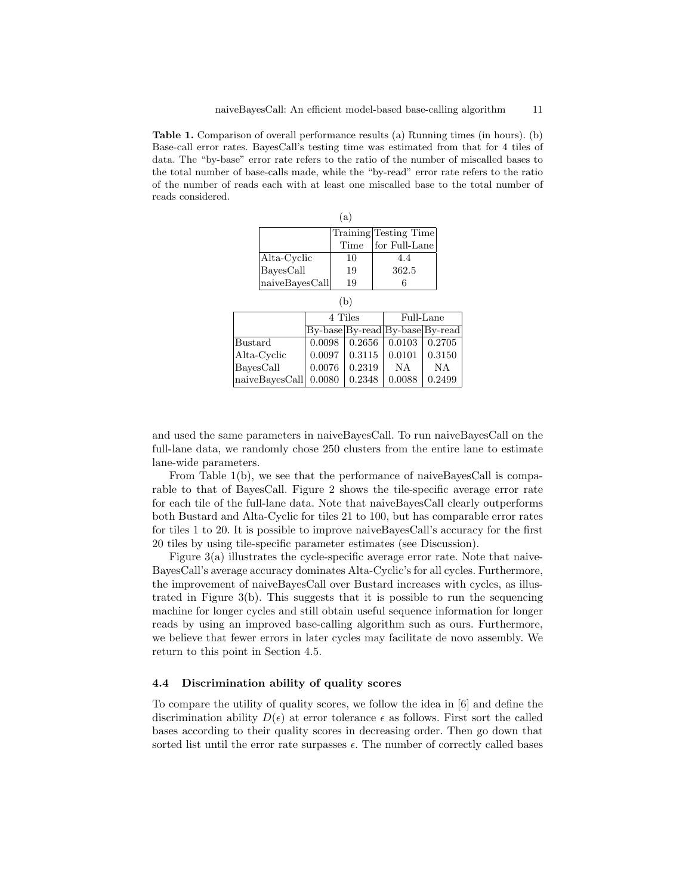Table 1. Comparison of overall performance results (a) Running times (in hours). (b) Base-call error rates. BayesCall's testing time was estimated from that for 4 tiles of data. The "by-base" error rate refers to the ratio of the number of miscalled bases to the total number of base-calls made, while the "by-read" error rate refers to the ratio of the number of reads each with at least one miscalled base to the total number of reads considered.

| (a)                |      |                       |  |  |  |  |  |  |
|--------------------|------|-----------------------|--|--|--|--|--|--|
|                    |      | Training Testing Time |  |  |  |  |  |  |
|                    | Time | for Full-Lane         |  |  |  |  |  |  |
| Alta-Cyclic        | 10   | 44                    |  |  |  |  |  |  |
| $_{\rm BayesCall}$ | 19   | 362.5                 |  |  |  |  |  |  |
| naiveBayesCall     | 19   |                       |  |  |  |  |  |  |

 $(h)$ 

| 1 D J          |                                 |        |           |           |  |  |  |  |  |
|----------------|---------------------------------|--------|-----------|-----------|--|--|--|--|--|
|                | 4 Tiles                         |        | Full-Lane |           |  |  |  |  |  |
|                | By-base By-read By-base By-read |        |           |           |  |  |  |  |  |
| Bustard        | 0.0098                          | 0.2656 | 0.0103    | 0.2705    |  |  |  |  |  |
| Alta-Cyclic    | 0.0097                          | 0.3115 | 0.0101    | 0.3150    |  |  |  |  |  |
| BavesCall      | 0.0076                          | 0.2319 | NA        | <b>NA</b> |  |  |  |  |  |
| naiveBayesCall | 0.0080                          | 0.2348 | 0.0088    | 0.2499    |  |  |  |  |  |

and used the same parameters in naiveBayesCall. To run naiveBayesCall on the full-lane data, we randomly chose 250 clusters from the entire lane to estimate lane-wide parameters.

From Table 1(b), we see that the performance of naiveBayesCall is comparable to that of BayesCall. Figure 2 shows the tile-specific average error rate for each tile of the full-lane data. Note that naiveBayesCall clearly outperforms both Bustard and Alta-Cyclic for tiles 21 to 100, but has comparable error rates for tiles 1 to 20. It is possible to improve naiveBayesCall's accuracy for the first 20 tiles by using tile-specific parameter estimates (see Discussion).

Figure  $3(a)$  illustrates the cycle-specific average error rate. Note that naive-BayesCall's average accuracy dominates Alta-Cyclic's for all cycles. Furthermore, the improvement of naiveBayesCall over Bustard increases with cycles, as illustrated in Figure 3(b). This suggests that it is possible to run the sequencing machine for longer cycles and still obtain useful sequence information for longer reads by using an improved base-calling algorithm such as ours. Furthermore, we believe that fewer errors in later cycles may facilitate de novo assembly. We return to this point in Section 4.5.

#### 4.4 Discrimination ability of quality scores

To compare the utility of quality scores, we follow the idea in [6] and define the discrimination ability  $D(\epsilon)$  at error tolerance  $\epsilon$  as follows. First sort the called bases according to their quality scores in decreasing order. Then go down that sorted list until the error rate surpasses  $\epsilon$ . The number of correctly called bases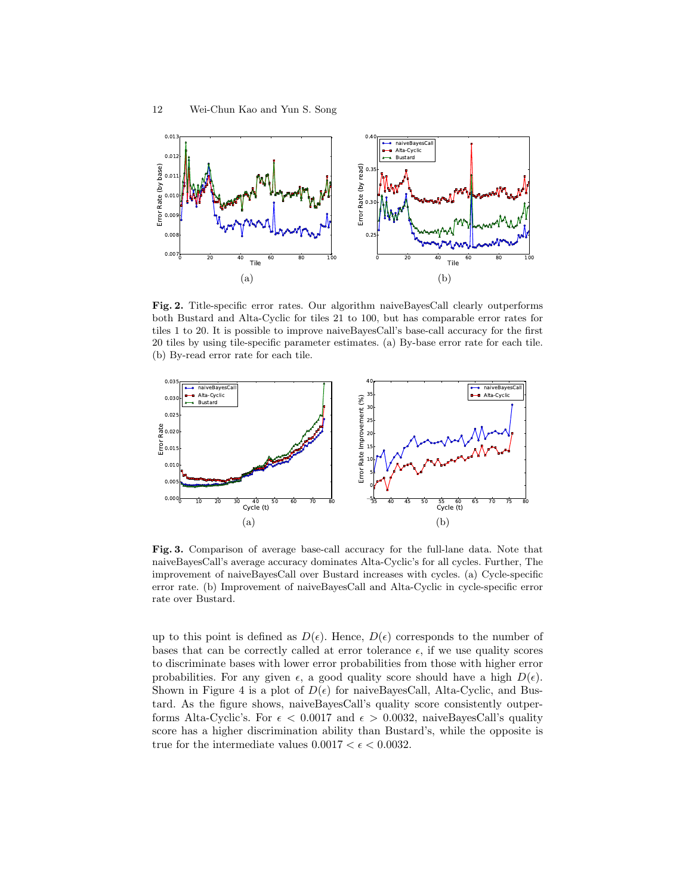

Fig. 2. Title-specific error rates. Our algorithm naiveBayesCall clearly outperforms both Bustard and Alta-Cyclic for tiles 21 to 100, but has comparable error rates for tiles 1 to 20. It is possible to improve naiveBayesCall's base-call accuracy for the first 20 tiles by using tile-specific parameter estimates. (a) By-base error rate for each tile. (b) By-read error rate for each tile.



Fig. 3. Comparison of average base-call accuracy for the full-lane data. Note that naiveBayesCall's average accuracy dominates Alta-Cyclic's for all cycles. Further, The improvement of naiveBayesCall over Bustard increases with cycles. (a) Cycle-specific error rate. (b) Improvement of naiveBayesCall and Alta-Cyclic in cycle-specific error rate over Bustard.

up to this point is defined as  $D(\epsilon)$ . Hence,  $D(\epsilon)$  corresponds to the number of bases that can be correctly called at error tolerance  $\epsilon$ , if we use quality scores to discriminate bases with lower error probabilities from those with higher error probabilities. For any given  $\epsilon$ , a good quality score should have a high  $D(\epsilon)$ . Shown in Figure 4 is a plot of  $D(\epsilon)$  for naiveBayesCall, Alta-Cyclic, and Bustard. As the figure shows, naiveBayesCall's quality score consistently outperforms Alta-Cyclic's. For  $\epsilon < 0.0017$  and  $\epsilon > 0.0032$ , naiveBayesCall's quality score has a higher discrimination ability than Bustard's, while the opposite is true for the intermediate values  $0.0017 < \epsilon < 0.0032$ .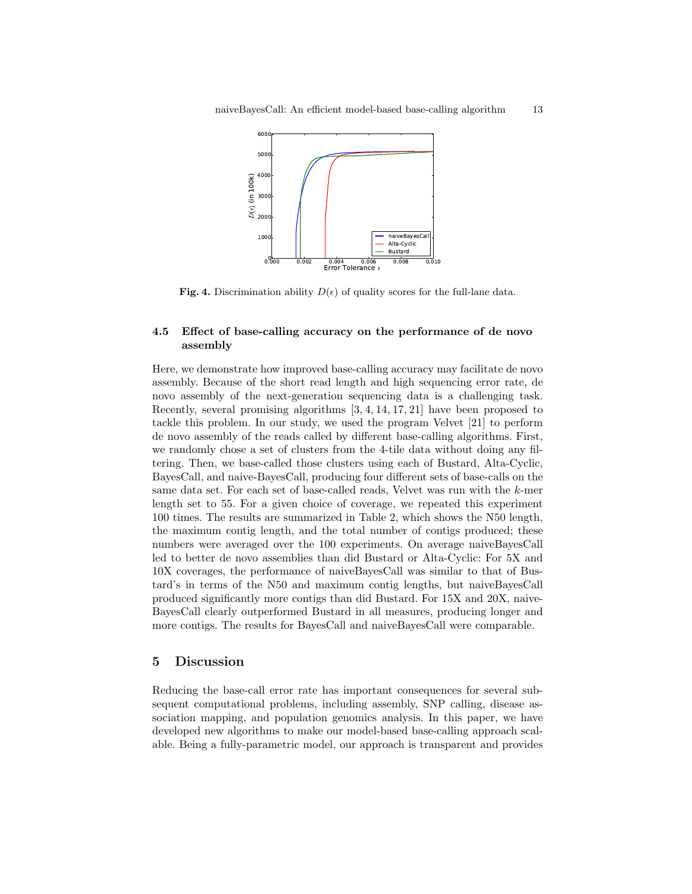

Fig. 4. Discrimination ability  $D(\epsilon)$  of quality scores for the full-lane data.

#### 4.5 Effect of base-calling accuracy on the performance of de novo assembly

Here, we demonstrate how improved base-calling accuracy may facilitate de novo assembly. Because of the short read length and high sequencing error rate, de novo assembly of the next-generation sequencing data is a challenging task. Recently, several promising algorithms [3, 4, 14, 17, 21] have been proposed to tackle this problem. In our study, we used the program Velvet [21] to perform de novo assembly of the reads called by different base-calling algorithms. First, we randomly chose a set of clusters from the 4-tile data without doing any filtering. Then, we base-called those clusters using each of Bustard, Alta-Cyclic, BayesCall, and naive-BayesCall, producing four different sets of base-calls on the same data set. For each set of base-called reads, Velvet was run with the k-mer length set to 55. For a given choice of coverage, we repeated this experiment 100 times. The results are summarized in Table 2, which shows the N50 length, the maximum contig length, and the total number of contigs produced; these numbers were averaged over the 100 experiments. On average naiveBayesCall led to better de novo assemblies than did Bustard or Alta-Cyclic: For 5X and 10X coverages, the performance of naiveBayesCall was similar to that of Bustard's in terms of the N50 and maximum contig lengths, but naiveBayesCall produced significantly more contigs than did Bustard. For 15X and 20X, naive-BayesCall clearly outperformed Bustard in all measures, producing longer and more contigs. The results for BayesCall and naiveBayesCall were comparable.

#### 5 Discussion

Reducing the base-call error rate has important consequences for several subsequent computational problems, including assembly, SNP calling, disease association mapping, and population genomics analysis. In this paper, we have developed new algorithms to make our model-based base-calling approach scalable. Being a fully-parametric model, our approach is transparent and provides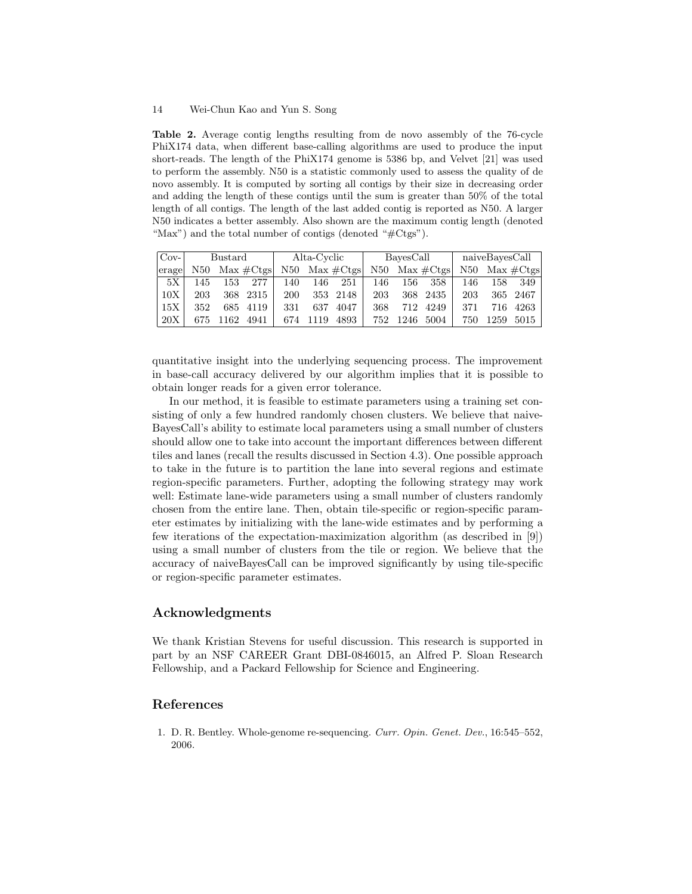#### 14 Wei-Chun Kao and Yun S. Song

Table 2. Average contig lengths resulting from de novo assembly of the 76-cycle PhiX174 data, when different base-calling algorithms are used to produce the input short-reads. The length of the PhiX174 genome is 5386 bp, and Velvet [21] was used to perform the assembly. N50 is a statistic commonly used to assess the quality of de novo assembly. It is computed by sorting all contigs by their size in decreasing order and adding the length of these contigs until the sum is greater than 50% of the total length of all contigs. The length of the last added contig is reported as N50. A larger N50 indicates a better assembly. Also shown are the maximum contig length (denoted "Max") and the total number of contigs (denoted "#Ctgs").

| $Cov-$ | Alta-Cyclic<br>Bustard |      | BayesCall     |     |      | naiveBayesCall          |     |      |                         |     |      |             |
|--------|------------------------|------|---------------|-----|------|-------------------------|-----|------|-------------------------|-----|------|-------------|
| erage  | N50-                   |      | $Max \#C$ tgs |     |      | N50 Max $\#\text{Ctes}$ |     |      | N50 Max $\#\text{Ctgs}$ | N50 |      | $Max \#Cts$ |
| 5X     | 145                    | 153  | 277           | 140 | 146  | 251                     | 146 | 156  | 358                     | 146 | 158  | 349         |
| 10X    | 203                    | 368. | -2315         | 200 | 353  | 2148                    | 203 | 368. | 2435                    | 203 | 365  | 2467        |
| 15X    | 352                    | 685- | 4119          | 331 | 637  | 4047                    | 368 | 712  | 4249                    | 371 | 716  | 4263        |
| 20X    | 675                    | 162  | 4941          | 674 | 1119 | 4893                    | 752 | 1246 | 5004                    | 750 | 1259 | 5015        |

quantitative insight into the underlying sequencing process. The improvement in base-call accuracy delivered by our algorithm implies that it is possible to obtain longer reads for a given error tolerance.

In our method, it is feasible to estimate parameters using a training set consisting of only a few hundred randomly chosen clusters. We believe that naive-BayesCall's ability to estimate local parameters using a small number of clusters should allow one to take into account the important differences between different tiles and lanes (recall the results discussed in Section 4.3). One possible approach to take in the future is to partition the lane into several regions and estimate region-specific parameters. Further, adopting the following strategy may work well: Estimate lane-wide parameters using a small number of clusters randomly chosen from the entire lane. Then, obtain tile-specific or region-specific parameter estimates by initializing with the lane-wide estimates and by performing a few iterations of the expectation-maximization algorithm (as described in [9]) using a small number of clusters from the tile or region. We believe that the accuracy of naiveBayesCall can be improved significantly by using tile-specific or region-specific parameter estimates.

# Acknowledgments

We thank Kristian Stevens for useful discussion. This research is supported in part by an NSF CAREER Grant DBI-0846015, an Alfred P. Sloan Research Fellowship, and a Packard Fellowship for Science and Engineering.

#### References

1. D. R. Bentley. Whole-genome re-sequencing. Curr. Opin. Genet. Dev., 16:545–552, 2006.